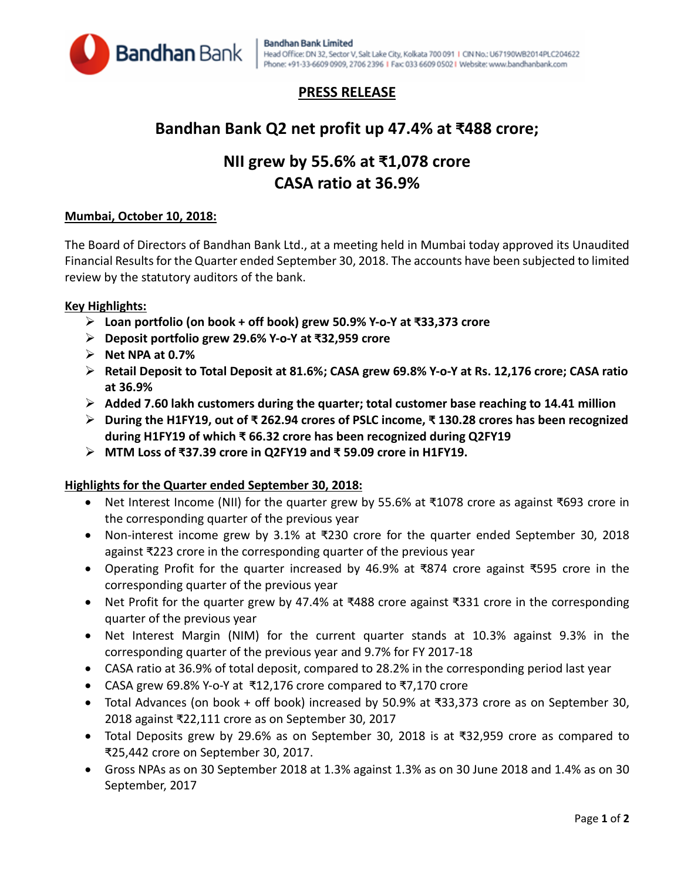

### **PRESS RELEASE**

## **Bandhan Bank Q2 net profit up 47.4% at ₹488 crore;**

# **NII grew by 55.6% at ₹1,078 crore CASA ratio at 36.9%**

#### **Mumbai, October 10, 2018:**

The Board of Directors of Bandhan Bank Ltd., at a meeting held in Mumbai today approved its Unaudited Financial Results for the Quarter ended September 30, 2018. The accounts have been subjected to limited review by the statutory auditors of the bank.

#### **Key Highlights:**

- **Loan portfolio (on book + off book) grew 50.9% Y-o-Y at ₹33,373 crore**
- **Deposit portfolio grew 29.6% Y-o-Y at ₹32,959 crore**
- **Net NPA at 0.7%**
- **Retail Deposit to Total Deposit at 81.6%; CASA grew 69.8% Y-o-Y at Rs. 12,176 crore; CASA ratio at 36.9%**
- **Added 7.60 lakh customers during the quarter; total customer base reaching to 14.41 million**
- **During the H1FY19, out of ₹ 262.94 crores of PSLC income, ₹ 130.28 crores has been recognized during H1FY19 of which ₹ 66.32 crore has been recognized during Q2FY19**
- **MTM Loss of ₹37.39 crore in Q2FY19 and ₹ 59.09 crore in H1FY19.**

#### **Highlights for the Quarter ended September 30, 2018:**

- Net Interest Income (NII) for the quarter grew by 55.6% at ₹1078 crore as against ₹693 crore in the corresponding quarter of the previous year
- Non-interest income grew by 3.1% at ₹230 crore for the quarter ended September 30, 2018 against ₹223 crore in the corresponding quarter of the previous year
- Operating Profit for the quarter increased by 46.9% at ₹874 crore against ₹595 crore in the corresponding quarter of the previous year
- Net Profit for the quarter grew by 47.4% at ₹488 crore against ₹331 crore in the corresponding quarter of the previous year
- Net Interest Margin (NIM) for the current quarter stands at 10.3% against 9.3% in the corresponding quarter of the previous year and 9.7% for FY 2017-18
- CASA ratio at 36.9% of total deposit, compared to 28.2% in the corresponding period last year
- CASA grew 69.8% Y-o-Y at ₹12,176 crore compared to ₹7,170 crore
- Total Advances (on book + off book) increased by 50.9% at ₹33,373 crore as on September 30, 2018 against ₹22,111 crore as on September 30, 2017
- Total Deposits grew by 29.6% as on September 30, 2018 is at ₹32,959 crore as compared to ₹25,442 crore on September 30, 2017.
- Gross NPAs as on 30 September 2018 at 1.3% against 1.3% as on 30 June 2018 and 1.4% as on 30 September, 2017